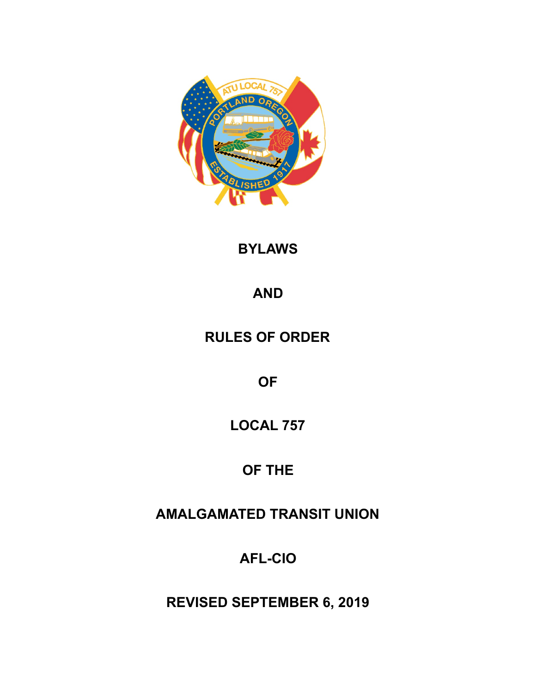

**BYLAWS** 

**AND** 

**RULES OF ORDER** 

**OF** 

**LOCAL 757** 

**OF THE** 

**AMALGAMATED TRANSIT UNION** 

**AFL-CIO** 

**REVISED SEPTEMBER 6, 2019**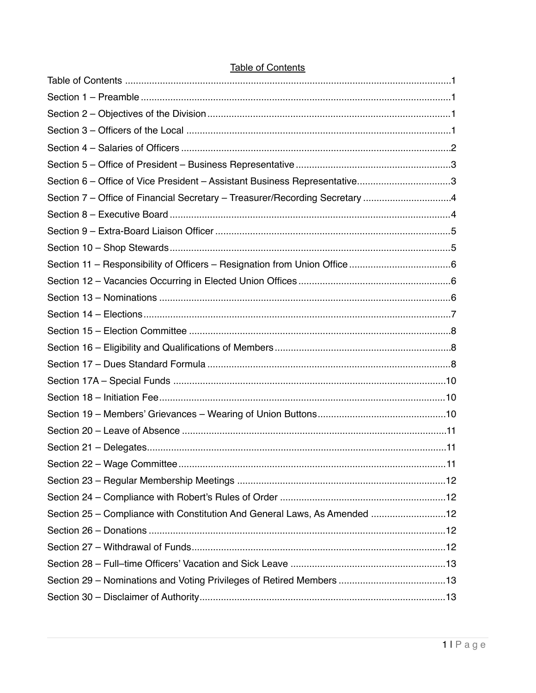| Section 6 – Office of Vice President – Assistant Business Representative3   |  |
|-----------------------------------------------------------------------------|--|
| Section 7 - Office of Financial Secretary - Treasurer/Recording Secretary 4 |  |
|                                                                             |  |
|                                                                             |  |
|                                                                             |  |
|                                                                             |  |
|                                                                             |  |
|                                                                             |  |
|                                                                             |  |
|                                                                             |  |
|                                                                             |  |
|                                                                             |  |
|                                                                             |  |
|                                                                             |  |
|                                                                             |  |
|                                                                             |  |
|                                                                             |  |
|                                                                             |  |
|                                                                             |  |
|                                                                             |  |
| Section 25 - Compliance with Constitution And General Laws, As Amended 12   |  |
|                                                                             |  |
|                                                                             |  |
|                                                                             |  |
|                                                                             |  |
|                                                                             |  |

# <span id="page-1-0"></span>**Table of Contents**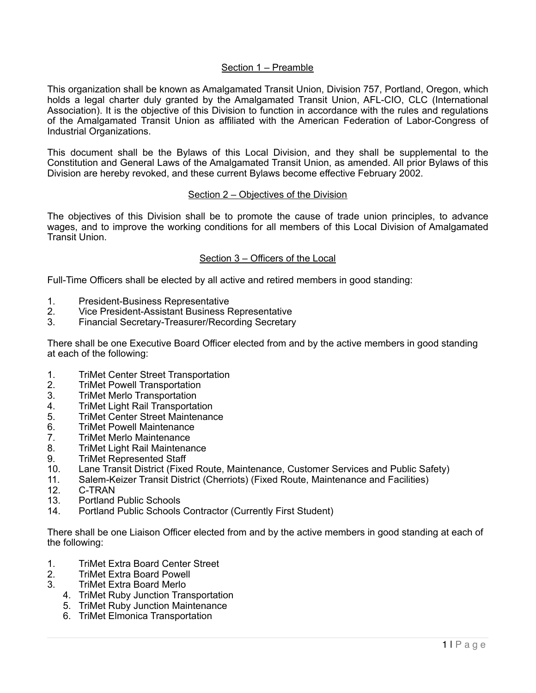## <span id="page-2-0"></span>Section 1 – Preamble

This organization shall be known as Amalgamated Transit Union, Division 757, Portland, Oregon, which holds a legal charter duly granted by the Amalgamated Transit Union, AFL-CIO, CLC (International Association). It is the objective of this Division to function in accordance with the rules and regulations of the Amalgamated Transit Union as affiliated with the American Federation of Labor-Congress of Industrial Organizations.

This document shall be the Bylaws of this Local Division, and they shall be supplemental to the Constitution and General Laws of the Amalgamated Transit Union, as amended. All prior Bylaws of this Division are hereby revoked, and these current Bylaws become effective February 2002.

### <span id="page-2-1"></span>Section 2 – Objectives of the Division

The objectives of this Division shall be to promote the cause of trade union principles, to advance wages, and to improve the working conditions for all members of this Local Division of Amalgamated Transit Union.

### <span id="page-2-2"></span>Section 3 – Officers of the Local

Full-Time Officers shall be elected by all active and retired members in good standing:

- 1. President-Business Representative
- 2. Vice President-Assistant Business Representative
- 3. Financial Secretary-Treasurer/Recording Secretary

There shall be one Executive Board Officer elected from and by the active members in good standing at each of the following:

- 1. TriMet Center Street Transportation
- 2. TriMet Powell Transportation
- 3. TriMet Merlo Transportation
- 4. TriMet Light Rail Transportation
- 5. TriMet Center Street Maintenance
- 6. TriMet Powell Maintenance
- 7. TriMet Merlo Maintenance
- 8. TriMet Light Rail Maintenance
- 9. TriMet Represented Staff
- 10. Lane Transit District (Fixed Route, Maintenance, Customer Services and Public Safety)
- 11. Salem-Keizer Transit District (Cherriots) (Fixed Route, Maintenance and Facilities)
- 12. C-TRAN
- 13. Portland Public Schools
- 14. Portland Public Schools Contractor (Currently First Student)

There shall be one Liaison Officer elected from and by the active members in good standing at each of the following:

- 1. TriMet Extra Board Center Street
- 2. TriMet Extra Board Powell
- 3. TriMet Extra Board Merlo
	- 4. TriMet Ruby Junction Transportation
	- 5. TriMet Ruby Junction Maintenance
	- 6. TriMet Elmonica Transportation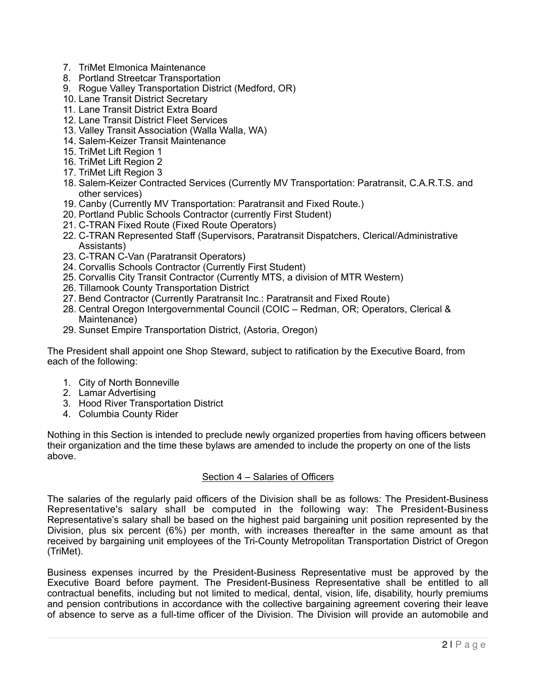- 7. TriMet Elmonica Maintenance
- 8. Portland Streetcar Transportation
- 9. Rogue Valley Transportation District (Medford, OR)
- 10. Lane Transit District Secretary
- 11. Lane Transit District Extra Board
- 12. Lane Transit District Fleet Services
- 13. Valley Transit Association (Walla Walla, WA)
- 14. Salem-Keizer Transit Maintenance
- 15. TriMet Lift Region 1
- 16. TriMet Lift Region 2
- 17. TriMet Lift Region 3
- 18. Salem-Keizer Contracted Services (Currently MV Transportation: Paratransit, C.A.R.T.S. and other services)
- 19. Canby (Currently MV Transportation: Paratransit and Fixed Route.)
- 20. Portland Public Schools Contractor (currently First Student)
- 21. C-TRAN Fixed Route (Fixed Route Operators)
- 22. C-TRAN Represented Staff (Supervisors, Paratransit Dispatchers, Clerical/Administrative Assistants)
- 23. C-TRAN C-Van (Paratransit Operators)
- 24. Corvallis Schools Contractor (Currently First Student)
- 25. Corvallis City Transit Contractor (Currently MTS, a division of MTR Western)
- 26. Tillamook County Transportation District
- 27. Bend Contractor (Currently Paratransit Inc.: Paratransit and Fixed Route)
- 28. Central Oregon Intergovernmental Council (COIC Redman, OR; Operators, Clerical & Maintenance)
- 29. Sunset Empire Transportation District, (Astoria, Oregon)

The President shall appoint one Shop Steward, subject to ratification by the Executive Board, from each of the following:

- 1. City of North Bonneville
- 2. Lamar Advertising
- 3. Hood River Transportation District
- 4. Columbia County Rider

Nothing in this Section is intended to preclude newly organized properties from having officers between their organization and the time these bylaws are amended to include the property on one of the lists above.

### <span id="page-3-0"></span>Section 4 – Salaries of Officers

The salaries of the regularly paid officers of the Division shall be as follows: The President-Business Representative's salary shall be computed in the following way: The President-Business Representative's salary shall be based on the highest paid bargaining unit position represented by the Division, plus six percent (6%) per month, with increases thereafter in the same amount as that received by bargaining unit employees of the Tri-County Metropolitan Transportation District of Oregon (TriMet).

Business expenses incurred by the President-Business Representative must be approved by the Executive Board before payment. The President-Business Representative shall be entitled to all contractual benefits, including but not limited to medical, dental, vision, life, disability, hourly premiums and pension contributions in accordance with the collective bargaining agreement covering their leave of absence to serve as a full-time officer of the Division. The Division will provide an automobile and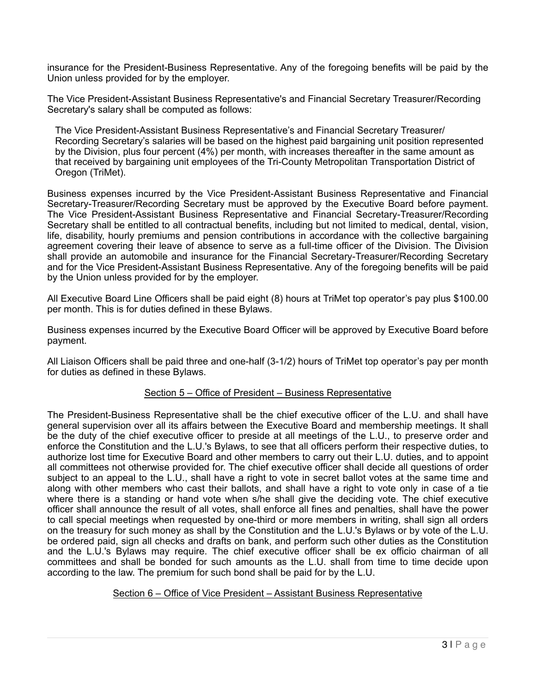insurance for the President-Business Representative. Any of the foregoing benefits will be paid by the Union unless provided for by the employer.

The Vice President-Assistant Business Representative's and Financial Secretary Treasurer/Recording Secretary's salary shall be computed as follows:

The Vice President-Assistant Business Representative's and Financial Secretary Treasurer/ Recording Secretary's salaries will be based on the highest paid bargaining unit position represented by the Division, plus four percent (4%) per month, with increases thereafter in the same amount as that received by bargaining unit employees of the Tri-County Metropolitan Transportation District of Oregon (TriMet).

Business expenses incurred by the Vice President-Assistant Business Representative and Financial Secretary-Treasurer/Recording Secretary must be approved by the Executive Board before payment. The Vice President-Assistant Business Representative and Financial Secretary-Treasurer/Recording Secretary shall be entitled to all contractual benefits, including but not limited to medical, dental, vision, life, disability, hourly premiums and pension contributions in accordance with the collective bargaining agreement covering their leave of absence to serve as a full-time officer of the Division. The Division shall provide an automobile and insurance for the Financial Secretary-Treasurer/Recording Secretary and for the Vice President-Assistant Business Representative. Any of the foregoing benefits will be paid by the Union unless provided for by the employer.

All Executive Board Line Officers shall be paid eight (8) hours at TriMet top operator's pay plus \$100.00 per month. This is for duties defined in these Bylaws.

Business expenses incurred by the Executive Board Officer will be approved by Executive Board before payment.

All Liaison Officers shall be paid three and one-half (3-1/2) hours of TriMet top operator's pay per month for duties as defined in these Bylaws.

# <span id="page-4-0"></span>Section 5 – Office of President – Business Representative

The President-Business Representative shall be the chief executive officer of the L.U. and shall have general supervision over all its affairs between the Executive Board and membership meetings. It shall be the duty of the chief executive officer to preside at all meetings of the L.U., to preserve order and enforce the Constitution and the L.U.'s Bylaws, to see that all officers perform their respective duties, to authorize lost time for Executive Board and other members to carry out their L.U. duties, and to appoint all committees not otherwise provided for. The chief executive officer shall decide all questions of order subject to an appeal to the L.U., shall have a right to vote in secret ballot votes at the same time and along with other members who cast their ballots, and shall have a right to vote only in case of a tie where there is a standing or hand vote when s/he shall give the deciding vote. The chief executive officer shall announce the result of all votes, shall enforce all fines and penalties, shall have the power to call special meetings when requested by one-third or more members in writing, shall sign all orders on the treasury for such money as shall by the Constitution and the L.U.'s Bylaws or by vote of the L.U. be ordered paid, sign all checks and drafts on bank, and perform such other duties as the Constitution and the L.U.'s Bylaws may require. The chief executive officer shall be ex officio chairman of all committees and shall be bonded for such amounts as the L.U. shall from time to time decide upon according to the law. The premium for such bond shall be paid for by the L.U.

### <span id="page-4-1"></span>Section 6 – Office of Vice President – Assistant Business Representative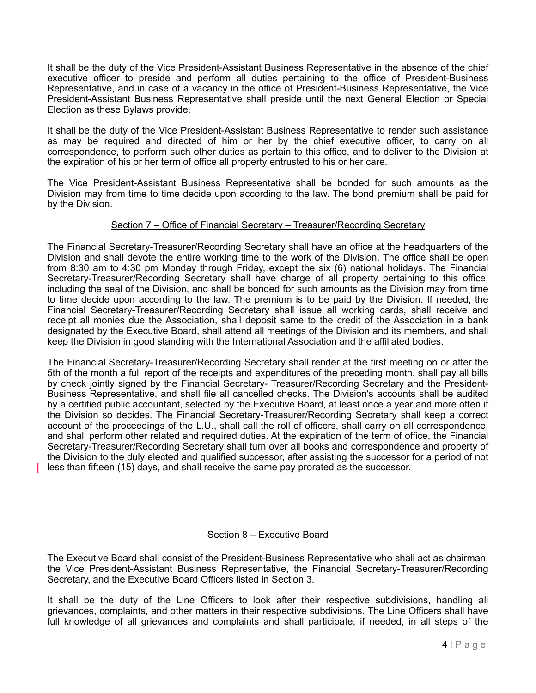It shall be the duty of the Vice President-Assistant Business Representative in the absence of the chief executive officer to preside and perform all duties pertaining to the office of President-Business Representative, and in case of a vacancy in the office of President-Business Representative, the Vice President-Assistant Business Representative shall preside until the next General Election or Special Election as these Bylaws provide.

It shall be the duty of the Vice President-Assistant Business Representative to render such assistance as may be required and directed of him or her by the chief executive officer, to carry on all correspondence, to perform such other duties as pertain to this office, and to deliver to the Division at the expiration of his or her term of office all property entrusted to his or her care.

The Vice President-Assistant Business Representative shall be bonded for such amounts as the Division may from time to time decide upon according to the law. The bond premium shall be paid for by the Division.

## <span id="page-5-0"></span>Section 7 – Office of Financial Secretary – Treasurer/Recording Secretary

The Financial Secretary-Treasurer/Recording Secretary shall have an office at the headquarters of the Division and shall devote the entire working time to the work of the Division. The office shall be open from 8:30 am to 4:30 pm Monday through Friday, except the six (6) national holidays. The Financial Secretary-Treasurer/Recording Secretary shall have charge of all property pertaining to this office, including the seal of the Division, and shall be bonded for such amounts as the Division may from time to time decide upon according to the law. The premium is to be paid by the Division. If needed, the Financial Secretary-Treasurer/Recording Secretary shall issue all working cards, shall receive and receipt all monies due the Association, shall deposit same to the credit of the Association in a bank designated by the Executive Board, shall attend all meetings of the Division and its members, and shall keep the Division in good standing with the International Association and the affiliated bodies.

The Financial Secretary-Treasurer/Recording Secretary shall render at the first meeting on or after the 5th of the month a full report of the receipts and expenditures of the preceding month, shall pay all bills by check jointly signed by the Financial Secretary- Treasurer/Recording Secretary and the President-Business Representative, and shall file all cancelled checks. The Division's accounts shall be audited by a certified public accountant, selected by the Executive Board, at least once a year and more often if the Division so decides. The Financial Secretary-Treasurer/Recording Secretary shall keep a correct account of the proceedings of the L.U., shall call the roll of officers, shall carry on all correspondence, and shall perform other related and required duties. At the expiration of the term of office, the Financial Secretary-Treasurer/Recording Secretary shall turn over all books and correspondence and property of the Division to the duly elected and qualified successor, after assisting the successor for a period of not less than fifteen (15) days, and shall receive the same pay prorated as the successor.

### <span id="page-5-1"></span>Section 8 – Executive Board

The Executive Board shall consist of the President-Business Representative who shall act as chairman, the Vice President-Assistant Business Representative, the Financial Secretary-Treasurer/Recording Secretary, and the Executive Board Officers listed in Section 3.

It shall be the duty of the Line Officers to look after their respective subdivisions, handling all grievances, complaints, and other matters in their respective subdivisions. The Line Officers shall have full knowledge of all grievances and complaints and shall participate, if needed, in all steps of the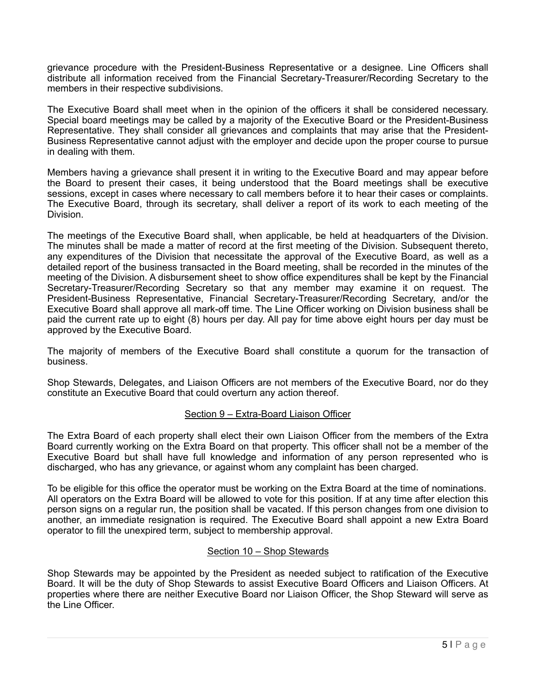grievance procedure with the President-Business Representative or a designee. Line Officers shall distribute all information received from the Financial Secretary-Treasurer/Recording Secretary to the members in their respective subdivisions.

The Executive Board shall meet when in the opinion of the officers it shall be considered necessary. Special board meetings may be called by a majority of the Executive Board or the President-Business Representative. They shall consider all grievances and complaints that may arise that the President-Business Representative cannot adjust with the employer and decide upon the proper course to pursue in dealing with them.

Members having a grievance shall present it in writing to the Executive Board and may appear before the Board to present their cases, it being understood that the Board meetings shall be executive sessions, except in cases where necessary to call members before it to hear their cases or complaints. The Executive Board, through its secretary, shall deliver a report of its work to each meeting of the Division.

The meetings of the Executive Board shall, when applicable, be held at headquarters of the Division. The minutes shall be made a matter of record at the first meeting of the Division. Subsequent thereto, any expenditures of the Division that necessitate the approval of the Executive Board, as well as a detailed report of the business transacted in the Board meeting, shall be recorded in the minutes of the meeting of the Division. A disbursement sheet to show office expenditures shall be kept by the Financial Secretary-Treasurer/Recording Secretary so that any member may examine it on request. The President-Business Representative, Financial Secretary-Treasurer/Recording Secretary, and/or the Executive Board shall approve all mark-off time. The Line Officer working on Division business shall be paid the current rate up to eight (8) hours per day. All pay for time above eight hours per day must be approved by the Executive Board.

The majority of members of the Executive Board shall constitute a quorum for the transaction of business.

Shop Stewards, Delegates, and Liaison Officers are not members of the Executive Board, nor do they constitute an Executive Board that could overturn any action thereof.

# <span id="page-6-0"></span>Section 9 – Extra-Board Liaison Officer

The Extra Board of each property shall elect their own Liaison Officer from the members of the Extra Board currently working on the Extra Board on that property. This officer shall not be a member of the Executive Board but shall have full knowledge and information of any person represented who is discharged, who has any grievance, or against whom any complaint has been charged.

To be eligible for this office the operator must be working on the Extra Board at the time of nominations. All operators on the Extra Board will be allowed to vote for this position. If at any time after election this person signs on a regular run, the position shall be vacated. If this person changes from one division to another, an immediate resignation is required. The Executive Board shall appoint a new Extra Board operator to fill the unexpired term, subject to membership approval.

### <span id="page-6-1"></span>Section 10 – Shop Stewards

Shop Stewards may be appointed by the President as needed subject to ratification of the Executive Board. It will be the duty of Shop Stewards to assist Executive Board Officers and Liaison Officers. At properties where there are neither Executive Board nor Liaison Officer, the Shop Steward will serve as the Line Officer.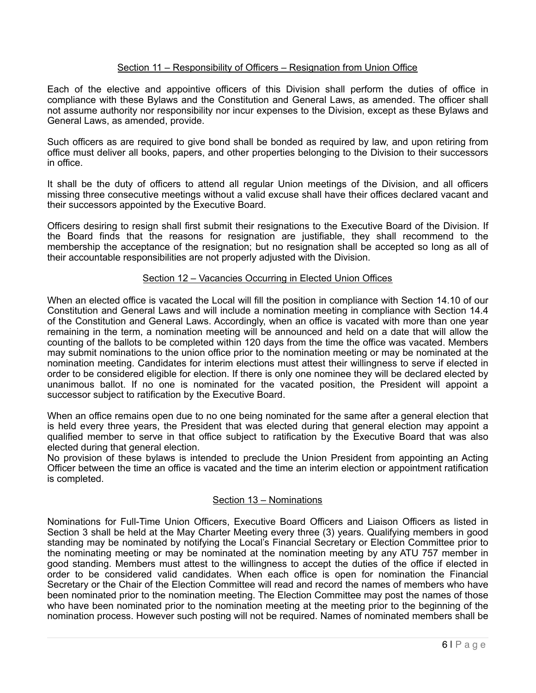## <span id="page-7-0"></span>Section 11 – Responsibility of Officers – Resignation from Union Office

Each of the elective and appointive officers of this Division shall perform the duties of office in compliance with these Bylaws and the Constitution and General Laws, as amended. The officer shall not assume authority nor responsibility nor incur expenses to the Division, except as these Bylaws and General Laws, as amended, provide.

Such officers as are required to give bond shall be bonded as required by law, and upon retiring from office must deliver all books, papers, and other properties belonging to the Division to their successors in office.

It shall be the duty of officers to attend all regular Union meetings of the Division, and all officers missing three consecutive meetings without a valid excuse shall have their offices declared vacant and their successors appointed by the Executive Board.

Officers desiring to resign shall first submit their resignations to the Executive Board of the Division. If the Board finds that the reasons for resignation are justifiable, they shall recommend to the membership the acceptance of the resignation; but no resignation shall be accepted so long as all of their accountable responsibilities are not properly adjusted with the Division.

### <span id="page-7-1"></span>Section 12 – Vacancies Occurring in Elected Union Offices

When an elected office is vacated the Local will fill the position in compliance with Section 14.10 of our Constitution and General Laws and will include a nomination meeting in compliance with Section 14.4 of the Constitution and General Laws. Accordingly, when an office is vacated with more than one year remaining in the term, a nomination meeting will be announced and held on a date that will allow the counting of the ballots to be completed within 120 days from the time the office was vacated. Members may submit nominations to the union office prior to the nomination meeting or may be nominated at the nomination meeting. Candidates for interim elections must attest their willingness to serve if elected in order to be considered eligible for election. If there is only one nominee they will be declared elected by unanimous ballot. If no one is nominated for the vacated position, the President will appoint a successor subject to ratification by the Executive Board.

When an office remains open due to no one being nominated for the same after a general election that is held every three years, the President that was elected during that general election may appoint a qualified member to serve in that office subject to ratification by the Executive Board that was also elected during that general election.

No provision of these bylaws is intended to preclude the Union President from appointing an Acting Officer between the time an office is vacated and the time an interim election or appointment ratification is completed.

### <span id="page-7-2"></span>Section 13 – Nominations

Nominations for Full-Time Union Officers, Executive Board Officers and Liaison Officers as listed in Section 3 shall be held at the May Charter Meeting every three (3) years. Qualifying members in good standing may be nominated by notifying the Local's Financial Secretary or Election Committee prior to the nominating meeting or may be nominated at the nomination meeting by any ATU 757 member in good standing. Members must attest to the willingness to accept the duties of the office if elected in order to be considered valid candidates. When each office is open for nomination the Financial Secretary or the Chair of the Election Committee will read and record the names of members who have been nominated prior to the nomination meeting. The Election Committee may post the names of those who have been nominated prior to the nomination meeting at the meeting prior to the beginning of the nomination process. However such posting will not be required. Names of nominated members shall be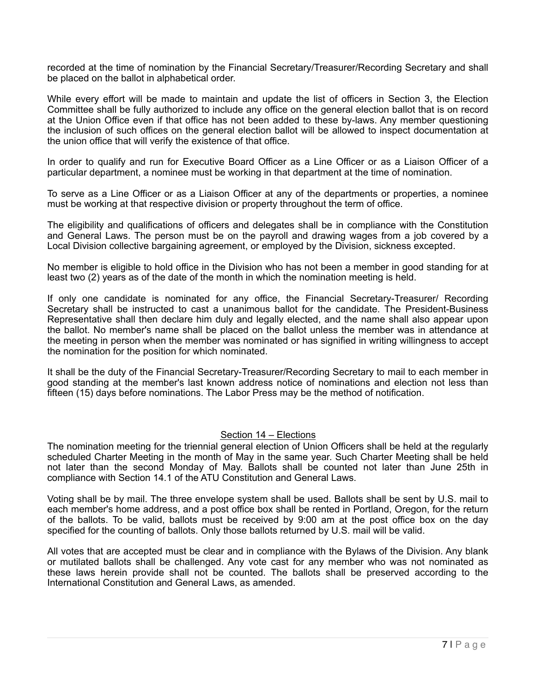recorded at the time of nomination by the Financial Secretary/Treasurer/Recording Secretary and shall be placed on the ballot in alphabetical order.

While every effort will be made to maintain and update the list of officers in Section 3, the Election Committee shall be fully authorized to include any office on the general election ballot that is on record at the Union Office even if that office has not been added to these by-laws. Any member questioning the inclusion of such offices on the general election ballot will be allowed to inspect documentation at the union office that will verify the existence of that office.

In order to qualify and run for Executive Board Officer as a Line Officer or as a Liaison Officer of a particular department, a nominee must be working in that department at the time of nomination.

To serve as a Line Officer or as a Liaison Officer at any of the departments or properties, a nominee must be working at that respective division or property throughout the term of office.

The eligibility and qualifications of officers and delegates shall be in compliance with the Constitution and General Laws. The person must be on the payroll and drawing wages from a job covered by a Local Division collective bargaining agreement, or employed by the Division, sickness excepted.

No member is eligible to hold office in the Division who has not been a member in good standing for at least two (2) years as of the date of the month in which the nomination meeting is held.

If only one candidate is nominated for any office, the Financial Secretary-Treasurer/ Recording Secretary shall be instructed to cast a unanimous ballot for the candidate. The President-Business Representative shall then declare him duly and legally elected, and the name shall also appear upon the ballot. No member's name shall be placed on the ballot unless the member was in attendance at the meeting in person when the member was nominated or has signified in writing willingness to accept the nomination for the position for which nominated.

It shall be the duty of the Financial Secretary-Treasurer/Recording Secretary to mail to each member in good standing at the member's last known address notice of nominations and election not less than fifteen (15) days before nominations. The Labor Press may be the method of notification.

### <span id="page-8-0"></span>Section 14 – Elections

The nomination meeting for the triennial general election of Union Officers shall be held at the regularly scheduled Charter Meeting in the month of May in the same year. Such Charter Meeting shall be held not later than the second Monday of May. Ballots shall be counted not later than June 25th in compliance with Section 14.1 of the ATU Constitution and General Laws.

Voting shall be by mail. The three envelope system shall be used. Ballots shall be sent by U.S. mail to each member's home address, and a post office box shall be rented in Portland, Oregon, for the return of the ballots. To be valid, ballots must be received by 9:00 am at the post office box on the day specified for the counting of ballots. Only those ballots returned by U.S. mail will be valid.

All votes that are accepted must be clear and in compliance with the Bylaws of the Division. Any blank or mutilated ballots shall be challenged. Any vote cast for any member who was not nominated as these laws herein provide shall not be counted. The ballots shall be preserved according to the International Constitution and General Laws, as amended.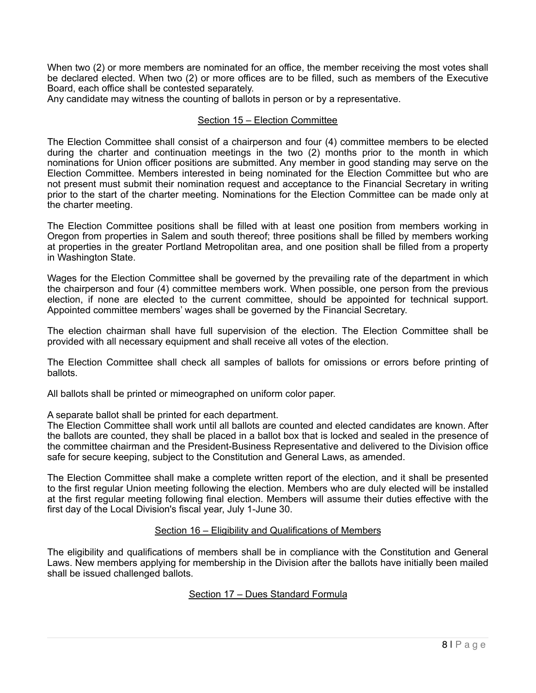When two (2) or more members are nominated for an office, the member receiving the most votes shall be declared elected. When two (2) or more offices are to be filled, such as members of the Executive Board, each office shall be contested separately.

Any candidate may witness the counting of ballots in person or by a representative.

## <span id="page-9-0"></span>Section 15 – Election Committee

The Election Committee shall consist of a chairperson and four (4) committee members to be elected during the charter and continuation meetings in the two (2) months prior to the month in which nominations for Union officer positions are submitted. Any member in good standing may serve on the Election Committee. Members interested in being nominated for the Election Committee but who are not present must submit their nomination request and acceptance to the Financial Secretary in writing prior to the start of the charter meeting. Nominations for the Election Committee can be made only at the charter meeting.

The Election Committee positions shall be filled with at least one position from members working in Oregon from properties in Salem and south thereof; three positions shall be filled by members working at properties in the greater Portland Metropolitan area, and one position shall be filled from a property in Washington State.

Wages for the Election Committee shall be governed by the prevailing rate of the department in which the chairperson and four (4) committee members work. When possible, one person from the previous election, if none are elected to the current committee, should be appointed for technical support. Appointed committee members' wages shall be governed by the Financial Secretary.

The election chairman shall have full supervision of the election. The Election Committee shall be provided with all necessary equipment and shall receive all votes of the election.

The Election Committee shall check all samples of ballots for omissions or errors before printing of ballots.

All ballots shall be printed or mimeographed on uniform color paper.

A separate ballot shall be printed for each department.

The Election Committee shall work until all ballots are counted and elected candidates are known. After the ballots are counted, they shall be placed in a ballot box that is locked and sealed in the presence of the committee chairman and the President-Business Representative and delivered to the Division office safe for secure keeping, subject to the Constitution and General Laws, as amended.

The Election Committee shall make a complete written report of the election, and it shall be presented to the first regular Union meeting following the election. Members who are duly elected will be installed at the first regular meeting following final election. Members will assume their duties effective with the first day of the Local Division's fiscal year, July 1-June 30.

### <span id="page-9-1"></span>Section 16 – Eligibility and Qualifications of Members

The eligibility and qualifications of members shall be in compliance with the Constitution and General Laws. New members applying for membership in the Division after the ballots have initially been mailed shall be issued challenged ballots.

### <span id="page-9-2"></span>Section 17 – Dues Standard Formula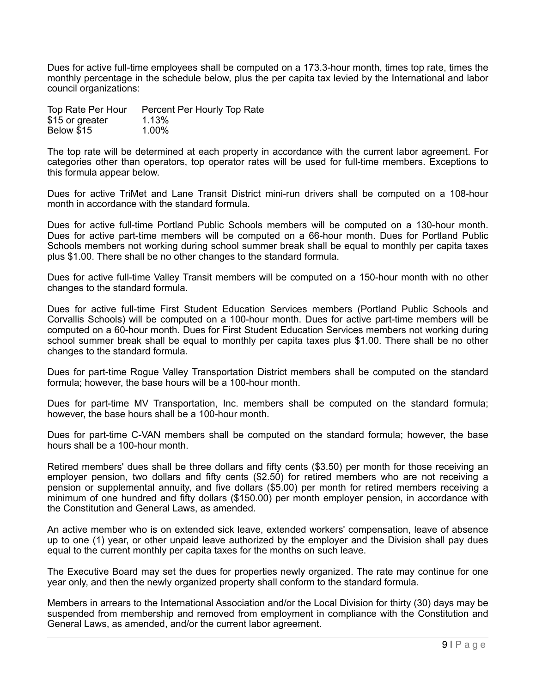Dues for active full-time employees shall be computed on a 173.3-hour month, times top rate, times the monthly percentage in the schedule below, plus the per capita tax levied by the International and labor council organizations:

| Top Rate Per Hour | Percent Per Hourly Top Rate |
|-------------------|-----------------------------|
| \$15 or greater   | 1.13%                       |
| Below \$15        | $1.00\%$                    |

The top rate will be determined at each property in accordance with the current labor agreement. For categories other than operators, top operator rates will be used for full-time members. Exceptions to this formula appear below.

Dues for active TriMet and Lane Transit District mini-run drivers shall be computed on a 108-hour month in accordance with the standard formula.

Dues for active full-time Portland Public Schools members will be computed on a 130-hour month. Dues for active part-time members will be computed on a 66-hour month. Dues for Portland Public Schools members not working during school summer break shall be equal to monthly per capita taxes plus \$1.00. There shall be no other changes to the standard formula.

Dues for active full-time Valley Transit members will be computed on a 150-hour month with no other changes to the standard formula.

Dues for active full-time First Student Education Services members (Portland Public Schools and Corvallis Schools) will be computed on a 100-hour month. Dues for active part-time members will be computed on a 60-hour month. Dues for First Student Education Services members not working during school summer break shall be equal to monthly per capita taxes plus \$1.00. There shall be no other changes to the standard formula.

Dues for part-time Rogue Valley Transportation District members shall be computed on the standard formula; however, the base hours will be a 100-hour month.

Dues for part-time MV Transportation, Inc. members shall be computed on the standard formula; however, the base hours shall be a 100-hour month.

Dues for part-time C-VAN members shall be computed on the standard formula; however, the base hours shall be a 100-hour month.

Retired members' dues shall be three dollars and fifty cents (\$3.50) per month for those receiving an employer pension, two dollars and fifty cents (\$2.50) for retired members who are not receiving a pension or supplemental annuity, and five dollars (\$5.00) per month for retired members receiving a minimum of one hundred and fifty dollars (\$150.00) per month employer pension, in accordance with the Constitution and General Laws, as amended.

An active member who is on extended sick leave, extended workers' compensation, leave of absence up to one (1) year, or other unpaid leave authorized by the employer and the Division shall pay dues equal to the current monthly per capita taxes for the months on such leave.

The Executive Board may set the dues for properties newly organized. The rate may continue for one year only, and then the newly organized property shall conform to the standard formula.

Members in arrears to the International Association and/or the Local Division for thirty (30) days may be suspended from membership and removed from employment in compliance with the Constitution and General Laws, as amended, and/or the current labor agreement.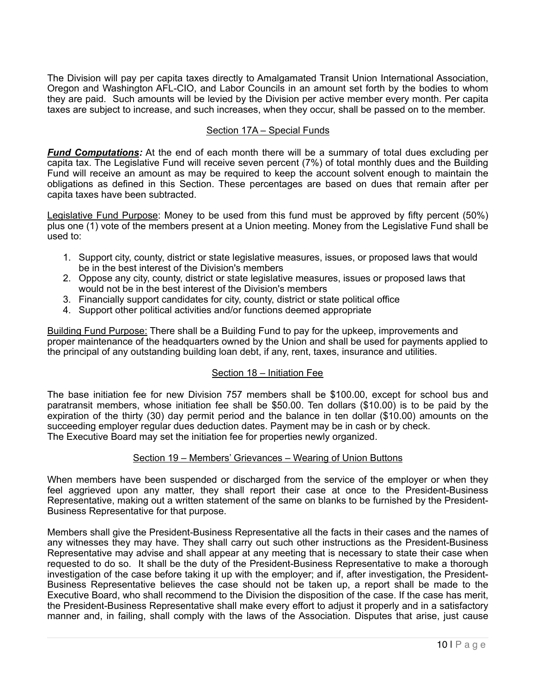The Division will pay per capita taxes directly to Amalgamated Transit Union International Association, Oregon and Washington AFL-CIO, and Labor Councils in an amount set forth by the bodies to whom they are paid. Such amounts will be levied by the Division per active member every month. Per capita taxes are subject to increase, and such increases, when they occur, shall be passed on to the member.

## <span id="page-11-0"></span>Section 17A – Special Funds

*Fund Computations:* At the end of each month there will be a summary of total dues excluding per capita tax. The Legislative Fund will receive seven percent (7%) of total monthly dues and the Building Fund will receive an amount as may be required to keep the account solvent enough to maintain the obligations as defined in this Section. These percentages are based on dues that remain after per capita taxes have been subtracted.

Legislative Fund Purpose: Money to be used from this fund must be approved by fifty percent (50%) plus one (1) vote of the members present at a Union meeting. Money from the Legislative Fund shall be used to:

- 1. Support city, county, district or state legislative measures, issues, or proposed laws that would be in the best interest of the Division's members
- 2. Oppose any city, county, district or state legislative measures, issues or proposed laws that would not be in the best interest of the Division's members
- 3. Financially support candidates for city, county, district or state political office
- 4. Support other political activities and/or functions deemed appropriate

Building Fund Purpose: There shall be a Building Fund to pay for the upkeep, improvements and proper maintenance of the headquarters owned by the Union and shall be used for payments applied to the principal of any outstanding building loan debt, if any, rent, taxes, insurance and utilities.

# <span id="page-11-1"></span>Section 18 – Initiation Fee

The base initiation fee for new Division 757 members shall be \$100.00, except for school bus and paratransit members, whose initiation fee shall be \$50.00. Ten dollars (\$10.00) is to be paid by the expiration of the thirty (30) day permit period and the balance in ten dollar (\$10.00) amounts on the succeeding employer regular dues deduction dates. Payment may be in cash or by check. The Executive Board may set the initiation fee for properties newly organized.

### <span id="page-11-2"></span>Section 19 – Members' Grievances – Wearing of Union Buttons

When members have been suspended or discharged from the service of the employer or when they feel aggrieved upon any matter, they shall report their case at once to the President-Business Representative, making out a written statement of the same on blanks to be furnished by the President-Business Representative for that purpose.

Members shall give the President-Business Representative all the facts in their cases and the names of any witnesses they may have. They shall carry out such other instructions as the President-Business Representative may advise and shall appear at any meeting that is necessary to state their case when requested to do so. It shall be the duty of the President-Business Representative to make a thorough investigation of the case before taking it up with the employer; and if, after investigation, the President-Business Representative believes the case should not be taken up, a report shall be made to the Executive Board, who shall recommend to the Division the disposition of the case. If the case has merit, the President-Business Representative shall make every effort to adjust it properly and in a satisfactory manner and, in failing, shall comply with the laws of the Association. Disputes that arise, just cause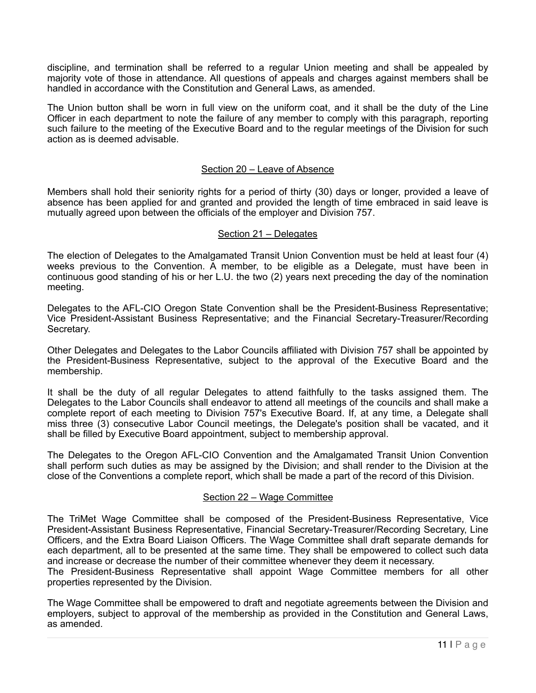discipline, and termination shall be referred to a regular Union meeting and shall be appealed by majority vote of those in attendance. All questions of appeals and charges against members shall be handled in accordance with the Constitution and General Laws, as amended.

The Union button shall be worn in full view on the uniform coat, and it shall be the duty of the Line Officer in each department to note the failure of any member to comply with this paragraph, reporting such failure to the meeting of the Executive Board and to the regular meetings of the Division for such action as is deemed advisable.

#### <span id="page-12-0"></span>Section 20 – Leave of Absence

Members shall hold their seniority rights for a period of thirty (30) days or longer, provided a leave of absence has been applied for and granted and provided the length of time embraced in said leave is mutually agreed upon between the officials of the employer and Division 757.

#### <span id="page-12-1"></span>Section 21 – Delegates

The election of Delegates to the Amalgamated Transit Union Convention must be held at least four (4) weeks previous to the Convention. A member, to be eligible as a Delegate, must have been in continuous good standing of his or her L.U. the two (2) years next preceding the day of the nomination meeting.

Delegates to the AFL-CIO Oregon State Convention shall be the President-Business Representative; Vice President-Assistant Business Representative; and the Financial Secretary-Treasurer/Recording Secretary.

Other Delegates and Delegates to the Labor Councils affiliated with Division 757 shall be appointed by the President-Business Representative, subject to the approval of the Executive Board and the membership.

It shall be the duty of all regular Delegates to attend faithfully to the tasks assigned them. The Delegates to the Labor Councils shall endeavor to attend all meetings of the councils and shall make a complete report of each meeting to Division 757's Executive Board. If, at any time, a Delegate shall miss three (3) consecutive Labor Council meetings, the Delegate's position shall be vacated, and it shall be filled by Executive Board appointment, subject to membership approval.

The Delegates to the Oregon AFL-CIO Convention and the Amalgamated Transit Union Convention shall perform such duties as may be assigned by the Division; and shall render to the Division at the close of the Conventions a complete report, which shall be made a part of the record of this Division.

### <span id="page-12-2"></span>Section 22 – Wage Committee

The TriMet Wage Committee shall be composed of the President-Business Representative, Vice President-Assistant Business Representative, Financial Secretary-Treasurer/Recording Secretary, Line Officers, and the Extra Board Liaison Officers. The Wage Committee shall draft separate demands for each department, all to be presented at the same time. They shall be empowered to collect such data and increase or decrease the number of their committee whenever they deem it necessary.

The President-Business Representative shall appoint Wage Committee members for all other properties represented by the Division.

The Wage Committee shall be empowered to draft and negotiate agreements between the Division and employers, subject to approval of the membership as provided in the Constitution and General Laws, as amended.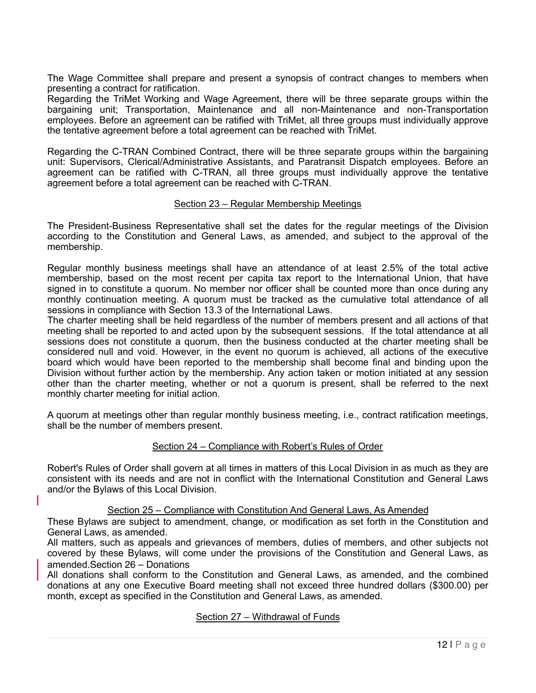The Wage Committee shall prepare and present a synopsis of contract changes to members when presenting a contract for ratification.

Regarding the TriMet Working and Wage Agreement, there will be three separate groups within the bargaining unit; Transportation, Maintenance and all non-Maintenance and non-Transportation employees. Before an agreement can be ratified with TriMet, all three groups must individually approve the tentative agreement before a total agreement can be reached with TriMet.

Regarding the C-TRAN Combined Contract, there will be three separate groups within the bargaining unit: Supervisors, Clerical/Administrative Assistants, and Paratransit Dispatch employees. Before an agreement can be ratified with C-TRAN, all three groups must individually approve the tentative agreement before a total agreement can be reached with C-TRAN.

### <span id="page-13-0"></span>Section 23 – Regular Membership Meetings

The President-Business Representative shall set the dates for the regular meetings of the Division according to the Constitution and General Laws, as amended, and subject to the approval of the membership.

Regular monthly business meetings shall have an attendance of at least 2.5% of the total active membership, based on the most recent per capita tax report to the International Union, that have signed in to constitute a quorum. No member nor officer shall be counted more than once during any monthly continuation meeting. A quorum must be tracked as the cumulative total attendance of all sessions in compliance with Section 13.3 of the International Laws.

The charter meeting shall be held regardless of the number of members present and all actions of that meeting shall be reported to and acted upon by the subsequent sessions. If the total attendance at all sessions does not constitute a quorum, then the business conducted at the charter meeting shall be considered null and void. However, in the event no quorum is achieved, all actions of the executive board which would have been reported to the membership shall become final and binding upon the Division without further action by the membership. Any action taken or motion initiated at any session other than the charter meeting, whether or not a quorum is present, shall be referred to the next monthly charter meeting for initial action.

A quorum at meetings other than regular monthly business meeting, i.e., contract ratification meetings, shall be the number of members present.

### <span id="page-13-1"></span>Section 24 – Compliance with Robert's Rules of Order

Robert's Rules of Order shall govern at all times in matters of this Local Division in as much as they are consistent with its needs and are not in conflict with the International Constitution and General Laws and/or the Bylaws of this Local Division.

#### <span id="page-13-2"></span>Section 25 – Compliance with Constitution And General Laws, As Amended

These Bylaws are subject to amendment, change, or modification as set forth in the Constitution and General Laws, as amended.

All matters, such as appeals and grievances of members, duties of members, and other subjects not covered by these Bylaws, will come under the provisions of the Constitution and General Laws, as amended.Section 26 – Donations

<span id="page-13-3"></span>All donations shall conform to the Constitution and General Laws, as amended, and the combined donations at any one Executive Board meeting shall not exceed three hundred dollars (\$300.00) per month, except as specified in the Constitution and General Laws, as amended.

### <span id="page-13-4"></span>Section 27 – Withdrawal of Funds